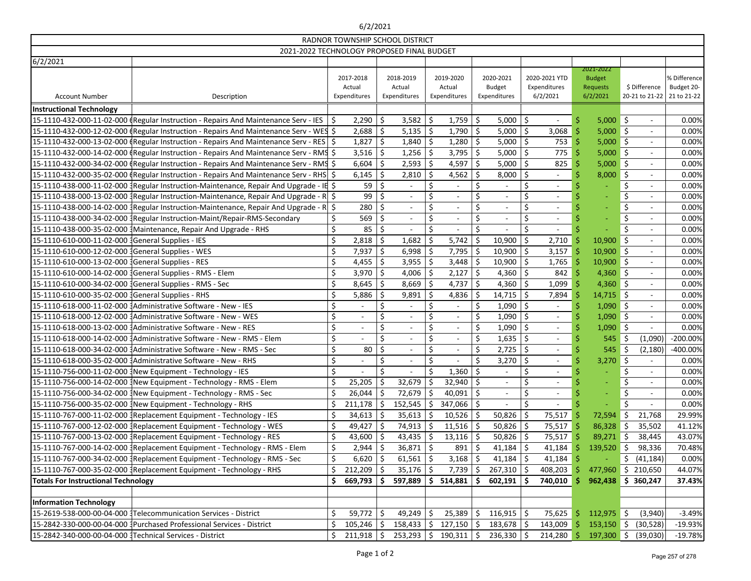## 6/2/2021 Account Number 2012 2013 2014 2015 2016 2017-2018 Actual Expenditures 2018-2019 Actual Expenditures 2019-2020 Actual Expenditures 2020-2021 Budget Expenditures 2020-2021 YTD Expenditures 6/2/2021 2021-2022 Budget Requests 6/2/2021 \$ Difference 20-21 to 21-22 % Difference Budget 20- 21 to 21-22 **Instructional Technology** 15-1110-432-000-11-02-000 (Regular Instruction - Repairs And Maintenance Serv - IES  $\vert \xi \vert$  2,290  $\vert \xi \vert$  3,582  $\vert \xi \vert$  1,759  $\vert \xi \vert$  5,000  $\vert \xi \vert$  -  $\vert$  5,000  $\vert \xi \vert$  -  $\vert$  0.00% 15-1110-432-000-12-02-000 (Regular Instruction - Repairs And Maintenance Serv - WES \$ 2,688 \$ 5,135 \$ 1,790 \$ 5,000 \$ 5,000 \$ - 0.00% 15-1110-432-000-13-02-000 (Regular Instruction - Repairs And Maintenance Serv - RES  $\vert \xi \vert = 1,840 \vert \xi \vert = 1,840 \vert \xi \vert = 1,280 \vert \xi \vert = 5,000 \vert \xi \vert = 753 \vert \xi \vert = 5,000 \vert \xi \vert = 0.00\%$ 15-1110-432-000-14-02-000 Regular Instruction - Repairs And Maintenance Serv - RMS \$ 3,516 \$ 1,256 \$ 3,795 \$ 5,000 \$ 5,000 \$ - 0.00% 15-1110-432-000-34-02-000 (Regular Instruction - Repairs And Maintenance Serv - RMS \$ 6,604 | \$ 2,593 | \$ 4,597 | \$ 5,000 | \$ 325 \$ 5,000 | \$ - 0.00% 15-1110-432-000-35-02-000 (Regular Instruction - Repairs And Maintenance Serv - RHS  $\vert$  \$ 6,145  $\vert$  \$ 2,810  $\vert$  \$ 4,562  $\vert$  \$  $\vert$  3,000  $\vert$  \$ -  $\vert$   $\vert$  0.00% 15-1110-438-000-11-02-000 3Regular Instruction-Maintenance, Repair And Upgrade - IE \$ 59 \ \$ - \ \$ - \ \$ - \$ - \ \$ - \ \$ - \ \$ 0.00% 15-1110-438-000-13-02-000 3Regular Instruction-Maintenance, Repair And Upgrade - R  $\vert$  \$ -  $\vert$  \$ -  $\vert$  \$ -  $\vert$  \$ -  $\vert$  \$ -  $\vert$  0.00% 15-1110-438-000-14-02-000 3Regular Instruction-Maintenance, Repair And Upgrade - R | \$ - | \$ - | \$ | \$ | \$ | 0.00% 15-1110-438-000-34-02-000 {Regular Instruction-Maint/Repair-RMS-Secondary | \$ 569 | \$ - | \$ - | \$ - | \$ - | \$ - | \$ - | 0.00% 15-1110-438-000-35-02-000 3Maintenance, Repair And Upgrade - RHS \$ 85 \$ - \$ - \$ - \$ - \$ - \$ - 0.00% 15-1110-610-000-11-02-000 General Supplies - IES **1.682 \$ 2,818 \$ 1,682 \$ 5,742 \$ 10,900 \$ 10,900** \$ - 0.00% 15-1110-610-000-12-02-000 3General Supplies - WES \$ 7,937 \$ 6,998 \$ 7,795 \$ 10,900 \$ 3,157 \$ 10,900 \$ - 0.00% 15-1110-610-000-13-02-000 3General Supplies - RES S 4,455 S 3,955 S 3,448 S 10,900 S 0.00% 15-1110-610-000-14-02-000 3General Supplies - RMS - Elem 3,970 | \$ 4,006 | \$ 4,360 | \$ 842 | \$ 4,360 | \$ - 0.00% 15-1110-610-000-34-02-000 General Supplies - RMS - Sec 8.645 | \$ 4.737 | \$ 4.360 | \$ 1.099 \$ 4.360 | \$ - 0.00% 15-1110-610-000-35-02-000 3General Supplies - RHS \$ 5,886 \$ 9,891 \$ 4,836 \$ 14,715 \$ 7,894 \$ 14,715 \$ - 0.00% 15-1110-618-000-11-02-000 3Administrative Software - New - IES  $\begin{vmatrix} 5 & -15 \end{vmatrix}$   $\begin{vmatrix} 5 & -15 \end{vmatrix}$   $\begin{vmatrix} 5 & -15 \end{vmatrix}$   $\begin{vmatrix} 5 & 1,090 \end{vmatrix}$   $\begin{vmatrix} 5 & 1,090 \end{vmatrix}$   $\begin{vmatrix} 5 & 1,090 \end{vmatrix}$   $\begin{vmatrix} 5 & -15 \end{vmatrix}$   $\begin$ 15-1110-618-000-12-02-000 3Administrative Software - New - WES \$ - \$ - \$ - \$ 1,090 \$ - \$ 1,090 \$ - 0.00% 15-1110-618-000-13-02-000 3Administrative Software - New - RES \$ - \$ - \$ - \$ 1,090 \$ - \$ 1,090 \$ - 0.00% 15-1110-618-000-14-02-000 3Administrative Software - New - RMS - Elem \$ - \$ - \$ - \$ 1,635 \$ - \$ 545 \$ (1,090) -200.00% 15-1110-618-000-34-02-000 3Administrative Software - New - RMS - Sec \$ 80 \$ - \$ - \$ 2,725 \$ - \$ 545 \$ (2,180) -400.00% 15-1110-618-000-35-02-000 3Administrative Software - New - RHS 3,270 \$ - 0.00% 15-1110-756-000-11-02-000 3New Equipment - Technology - IES \$ - \$ - \$ 1,360 \$ - \$ - \$ - \$ - 0.00% 15-1110-756-000-14-02-000 3New Equipment - Technology - RMS - Elem  $\vert \xi \vert$  25,205  $\vert \xi \vert$  32,679  $\vert \xi \vert$  32,940  $\vert \xi \vert$  -  $\vert \xi \vert$  -  $\vert \xi \vert$  -  $\vert \xi \vert$  -  $\vert \xi \vert$  -  $\vert \xi \vert$  -  $\vert \xi \vert$  -  $\vert$  0.00% 15-1110-756-000-34-02-000 New Equipment - Technology - RMS - Sec 3 (  $\pm$  36,044  $\pm$  72,679  $\pm$  40,091  $\pm$  -  $\pm$  5 -  $\pm$  5 -  $\pm$  0.00% 15-1110-756-000-35-02-000 3New Equipment - Technology - RHS \$ 211,178 \$ 152,545 \$ 347,066 \$ - \$ - \$ - \$ - 0.00% 15-1110-767-000-11-02-000 3Replacement Equipment - Technology - IES \$ 34,613 \$ 35,613 \$ 10,526 \$ 50,826 \$ 75,517 \$ 72,594 \$ 21,768 29.99% 15-1110-767-000-12-02-000 3Replacement Equipment - Technology - WES \$ 49,427 \$ 74,913 \$ 11,516 \$ 50,826 \$ 75,517 \$ 86,328 \$ 35,502 41.12% 15-1110-767-000-13-02-000 Replacement Equipment - Technology - RES | \$ 43,600 | \$ 43,435 | \$ 13,116 | \$ 50,826 | \$ 75,517 \$ 89,271 \$ 38,445 | 43.07% 15-1110-767-000-14-02-000 Replacement Equipment - Technology - RMS - Elem  $\vert$  \$ 2,944  $\vert$  \$ 36,871  $\vert$  \$ 891  $\vert$  \$ 41,184  $\vert$  \$ 41,184  $\vert$  \$ 139,520  $\vert$  \$ 98,336  $\vert$  70.48% 15-1110-767-000-34-02-000 Replacement Equipment - Technology - RMS - Sec  $\begin{vmatrix} 5 & 6.620 & 5 & 61.561 & 5 & 3.168 & 5 & 41.184 & 5 & - & 5 & (41.184) & 0.00\% \end{vmatrix}$ 15-1110-767-000-35-02-000 3Replacement Equipment - Technology - RHS \$ 212,209 \$ 35,176 \$ 7,739 \$ 267,310 \$ 408,203 \$ 477,960 \$ 210,650 44.07% **Totals For Instructional Technology \$ 669,793 \$ 597,889 \$ 514,881 \$ 602,191 \$ 740,010 \$ 962,438 \$ 360,247 37.43% Information Technology** 15-2619-538-000-00-04-000 3Telecommunication Services - District \$ 59,772 \$ 49,249 \$ 25,389 \$ 116,915 \$ 75,625 \$ 112,975 \$ (3,940) -3.49% 15-2842-330-000-00-04-000 3Purchased Professional Services - District \$ 105,246 \$ 158,433 \$ 127,150 \$ 183,678 \$ 143,009 \$ 153,150 \$ (30,528) -19.93% 15-2842-340-000-00-04-000 3Technical Services - District \$ 211,918 \$ 253,293 \$ 190,311 \$ 236,330 \$ 214,280 \$ 197,300 \$ (39,030) -19.78% RADNOR TOWNSHIP SCHOOL DISTRICT 2021-2022 TECHNOLOGY PROPOSED FINAL BUDGET

6/2/2021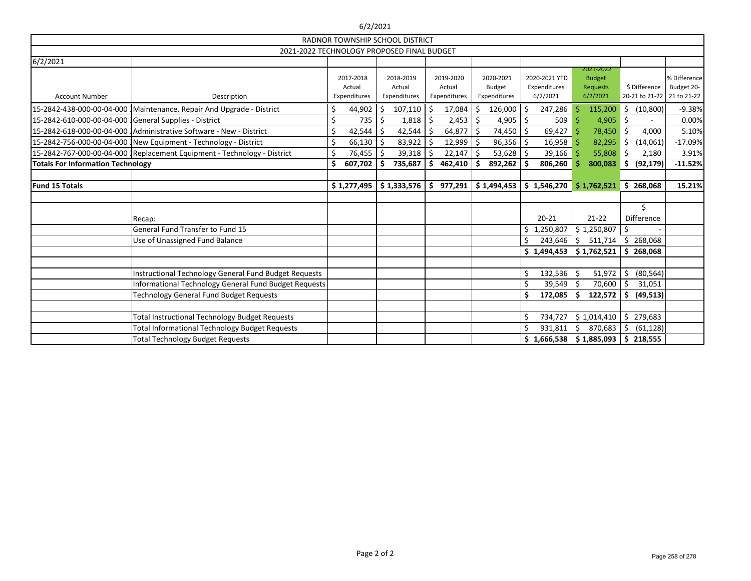|                                                                          |                                                                  |    | 6/2/2021     |    |                                        |    |              |     |               |    |               |    |                               |         |                   |                            |
|--------------------------------------------------------------------------|------------------------------------------------------------------|----|--------------|----|----------------------------------------|----|--------------|-----|---------------|----|---------------|----|-------------------------------|---------|-------------------|----------------------------|
|                                                                          |                                                                  |    |              |    | <b>RADNOR TOWNSHIP SCHOOL DISTRICT</b> |    |              |     |               |    |               |    |                               |         |                   |                            |
|                                                                          | 2021-2022 TECHNOLOGY PROPOSED FINAL BUDGET                       |    |              |    |                                        |    |              |     |               |    |               |    |                               |         |                   |                            |
| 6/2/2021                                                                 |                                                                  |    |              |    |                                        |    |              |     |               |    |               |    |                               |         |                   |                            |
|                                                                          |                                                                  |    | 2017-2018    |    | 2018-2019                              |    | 2019-2020    |     | 2020-2021     |    | 2020-2021 YTD |    | 2021-2022<br><b>Budget</b>    |         |                   | % Difference               |
|                                                                          |                                                                  |    | Actual       |    | Actual                                 |    | Actual       |     | <b>Budget</b> |    | Expenditures  |    | Requests                      |         | \$ Difference     | Budget 20-                 |
| <b>Account Number</b>                                                    | Description                                                      |    | Expenditures |    | Expenditures                           |    | Expenditures |     | Expenditures  |    | 6/2/2021      |    | 6/2/2021                      |         |                   | 20-21 to 21-22 21 to 21-22 |
| 15-2842-438-000-00-04-000 Maintenance, Repair And Upgrade - District     |                                                                  |    | 44,902       | Ŝ. | 107,110                                | \$ | 17,084       | \$  | 126,000       | Ś  | 247,286       |    | 115,200                       | \$      | (10, 800)         | $-9.38%$                   |
|                                                                          |                                                                  | Ś  | 735          |    | 1,818                                  |    | 2,453        | Ŝ.  | 4,905         | \$ | 509           |    | $4,905$ \$                    |         |                   | 0.00%                      |
| 15-2842-618-000-00-04-000 3Administrative Software - New - District      |                                                                  | \$ | 42,544       |    | 42,544                                 | Ŝ. | $64,877$ \$  |     | 74,450        | Ś. | $69,427$ \$   |    | 78,450 \$                     |         | 4,000             | 5.10%                      |
|                                                                          | 15-2842-756-000-00-04-000 {New Equipment - Technology - District |    | 66,130       |    | 83,922                                 |    | 12,999       | -\$ | 96,356        | \$ | 16,958        |    | $82,295$ \$                   |         | (14,061)          | $-17.09%$                  |
| 15-2842-767-000-00-04-000 {Replacement Equipment - Technology - District |                                                                  |    | 76,455       | Ŝ. | 39,318                                 |    | $22,147$ \$  |     | 53,628        |    | $39,166$ \$   |    | 55,808                        | $\zeta$ | 2,180             | 3.91%                      |
| <b>Totals For Information Technology</b>                                 |                                                                  | Ś  | 607,702      | Ŝ. | 735,687                                |    | 462,410      | .S  | 892,262       |    | 806,260       |    | 800,083                       | \$      | (92, 179)         | $-11.52%$                  |
|                                                                          |                                                                  |    |              |    |                                        |    |              |     |               |    |               |    |                               |         |                   |                            |
| <b>Fund 15 Totals</b>                                                    |                                                                  |    | \$1,277,495  |    | \$1,333,576                            | \$ | 977,291      |     | \$1,494,453   |    | \$1,546,270   |    | $$1,762,521$ $$268,068$       |         |                   | 15.21%                     |
|                                                                          |                                                                  |    |              |    |                                        |    |              |     |               |    |               |    |                               |         |                   |                            |
|                                                                          |                                                                  |    |              |    |                                        |    |              |     |               |    |               |    |                               |         | \$                |                            |
| Recap:                                                                   |                                                                  |    |              |    |                                        |    |              |     |               |    | $20 - 21$     |    | $21-22$                       |         | <b>Difference</b> |                            |
| General Fund Transfer to Fund 15                                         |                                                                  |    |              |    |                                        |    |              |     |               |    | \$1,250,807   |    | \$1,250,807                   | \$      |                   |                            |
| Use of Unassigned Fund Balance                                           |                                                                  |    |              |    |                                        |    |              |     |               |    |               |    | 243,646 \$ 511,714 \$ 268,068 |         |                   |                            |
|                                                                          |                                                                  |    |              |    |                                        |    |              |     |               |    | \$1,494,453   |    | \$1,762,521                   |         | \$268,068         |                            |
|                                                                          |                                                                  |    |              |    |                                        |    |              |     |               |    |               |    |                               |         |                   |                            |
|                                                                          | Instructional Technology General Fund Budget Requests            |    |              |    |                                        |    |              |     |               |    | 132,536       | \$ | 51,972                        | \$      | (80, 564)         |                            |
|                                                                          | Informational Technology General Fund Budget Requests            |    |              |    |                                        |    |              |     |               |    | 39,549        | -S | 70,600                        | \$      | 31,051            |                            |
|                                                                          | <b>Technology General Fund Budget Requests</b>                   |    |              |    |                                        |    |              |     |               | \$ | 172,085       | -S | 122,572                       | \$      | (49, 513)         |                            |
|                                                                          |                                                                  |    |              |    |                                        |    |              |     |               |    |               |    |                               |         |                   |                            |
|                                                                          | <b>Total Instructional Technology Budget Requests</b>            |    |              |    |                                        |    |              |     |               |    | 734,727       |    | \$1,014,410                   |         | \$279,683         |                            |
|                                                                          | <b>Total Informational Technology Budget Requests</b>            |    |              |    |                                        |    |              |     |               |    | 931,811       | Ŝ. | 870,683                       | Ŝ.      | (61, 128)         |                            |
| <b>Total Technology Budget Requests</b>                                  |                                                                  |    |              |    |                                        |    |              |     |               |    |               |    | $$1,666,538 \mid $1,885,093$  |         | \$218,555         |                            |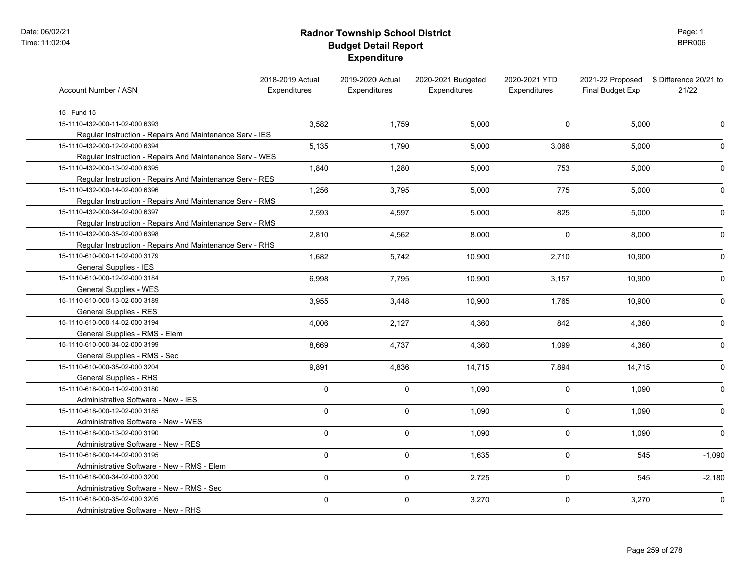# **Radnor Township School District Budget Detail Report Expenditure**

Page: 1 BPR006

| Account Number / ASN                                     | 2018-2019 Actual<br>Expenditures | 2019-2020 Actual<br><b>Expenditures</b> | 2020-2021 Budgeted<br>Expenditures | 2020-2021 YTD<br>Expenditures | 2021-22 Proposed<br>Final Budget Exp | \$ Difference 20/21 to<br>21/22 |
|----------------------------------------------------------|----------------------------------|-----------------------------------------|------------------------------------|-------------------------------|--------------------------------------|---------------------------------|
| 15 Fund 15                                               |                                  |                                         |                                    |                               |                                      |                                 |
| 15-1110-432-000-11-02-000 6393                           | 3,582                            | 1,759                                   | 5,000                              | 0                             | 5,000                                |                                 |
| Regular Instruction - Repairs And Maintenance Serv - IES |                                  |                                         |                                    |                               |                                      |                                 |
| 15-1110-432-000-12-02-000 6394                           | 5,135                            | 1,790                                   | 5,000                              | 3,068                         | 5,000                                | O                               |
| Regular Instruction - Repairs And Maintenance Serv - WES |                                  |                                         |                                    |                               |                                      |                                 |
| 15-1110-432-000-13-02-000 6395                           | 1,840                            | 1,280                                   | 5,000                              | 753                           | 5,000                                | $\Omega$                        |
| Regular Instruction - Repairs And Maintenance Serv - RES |                                  |                                         |                                    |                               |                                      |                                 |
| 15-1110-432-000-14-02-000 6396                           | 1,256                            | 3,795                                   | 5,000                              | 775                           | 5.000                                | $\mathbf{0}$                    |
| Regular Instruction - Repairs And Maintenance Serv - RMS |                                  |                                         |                                    |                               |                                      |                                 |
| 15-1110-432-000-34-02-000 6397                           | 2,593                            | 4,597                                   | 5,000                              | 825                           | 5,000                                | $\Omega$                        |
| Regular Instruction - Repairs And Maintenance Serv - RMS |                                  |                                         |                                    |                               |                                      |                                 |
| 15-1110-432-000-35-02-000 6398                           | 2,810                            | 4,562                                   | 8,000                              | $\mathbf 0$                   | 8,000                                | ∩                               |
| Regular Instruction - Repairs And Maintenance Serv - RHS |                                  |                                         |                                    |                               |                                      |                                 |
| 15-1110-610-000-11-02-000 3179                           | 1,682                            | 5,742                                   | 10,900                             | 2,710                         | 10,900                               |                                 |
| General Supplies - IES                                   |                                  |                                         |                                    |                               |                                      |                                 |
| 15-1110-610-000-12-02-000 3184                           | 6,998                            | 7,795                                   | 10,900                             | 3,157                         | 10,900                               | O                               |
| General Supplies - WES                                   |                                  |                                         |                                    |                               |                                      |                                 |
| 15-1110-610-000-13-02-000 3189                           | 3,955                            | 3,448                                   | 10,900                             | 1,765                         | 10,900                               | O                               |
| <b>General Supplies - RES</b>                            |                                  |                                         |                                    |                               |                                      |                                 |
| 15-1110-610-000-14-02-000 3194                           | 4,006                            | 2,127                                   | 4,360                              | 842                           | 4,360                                | $\Omega$                        |
| General Supplies - RMS - Elem                            |                                  |                                         |                                    |                               |                                      |                                 |
| 15-1110-610-000-34-02-000 3199                           | 8,669                            | 4,737                                   | 4,360                              | 1,099                         | 4,360                                | $\Omega$                        |
| General Supplies - RMS - Sec                             |                                  |                                         |                                    |                               |                                      |                                 |
| 15-1110-610-000-35-02-000 3204                           | 9,891                            | 4,836                                   | 14,715                             | 7,894                         | 14,715                               | O                               |
| General Supplies - RHS                                   |                                  |                                         |                                    |                               |                                      |                                 |
| 15-1110-618-000-11-02-000 3180                           | 0                                | $\pmb{0}$                               | 1,090                              | $\mathbf 0$                   | 1,090                                | O                               |
| Administrative Software - New - IES                      |                                  |                                         |                                    |                               |                                      |                                 |
| 15-1110-618-000-12-02-000 3185                           | 0                                | $\pmb{0}$                               | 1,090                              | $\mathsf{O}$                  | 1,090                                |                                 |
| Administrative Software - New - WES                      |                                  |                                         |                                    |                               |                                      |                                 |
| 15-1110-618-000-13-02-000 3190                           | 0                                | $\mathbf 0$                             | 1,090                              | $\mathbf 0$                   | 1,090                                | $\Omega$                        |
| Administrative Software - New - RES                      |                                  |                                         |                                    |                               |                                      |                                 |
| 15-1110-618-000-14-02-000 3195                           | 0                                | $\pmb{0}$                               | 1,635                              | $\mathbf 0$                   | 545                                  | $-1,090$                        |
| Administrative Software - New - RMS - Elem               |                                  |                                         |                                    |                               |                                      |                                 |
| 15-1110-618-000-34-02-000 3200                           | 0                                | $\mathbf 0$                             | 2,725                              | $\mathbf 0$                   | 545                                  | $-2,180$                        |
| Administrative Software - New - RMS - Sec                |                                  |                                         |                                    |                               |                                      |                                 |
| 15-1110-618-000-35-02-000 3205                           | 0                                | $\pmb{0}$                               | 3,270                              | $\mathbf 0$                   | 3,270                                | 0                               |
| Administrative Software - New - RHS                      |                                  |                                         |                                    |                               |                                      |                                 |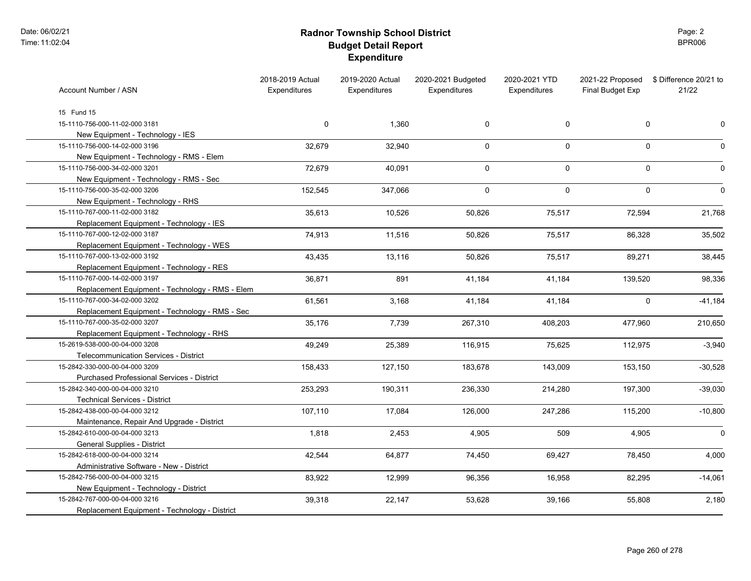# **Radnor Township School District Budget Detail Report Expenditure**

Page: 2 BPR006

| 15 Fund 15<br>15-1110-756-000-11-02-000 3181<br>0<br>1,360<br>0<br>$\mathbf 0$<br>0<br>New Equipment - Technology - IES<br>15-1110-756-000-14-02-000 3196<br>0<br>$\mathbf 0$<br>$\mathbf 0$<br>32,679<br>32,940<br>New Equipment - Technology - RMS - Elem<br>15-1110-756-000-34-02-000 3201<br>40,091<br>$\mathbf 0$<br>$\mathbf 0$<br>$\mathbf 0$<br>72,679<br>New Equipment - Technology - RMS - Sec<br>$\mathbf{0}$<br>$\mathbf 0$<br>15-1110-756-000-35-02-000 3206<br>152,545<br>347,066<br>$\mathbf 0$<br>New Equipment - Technology - RHS<br>15-1110-767-000-11-02-000 3182<br>35,613<br>10,526<br>72,594<br>50,826<br>75,517<br>Replacement Equipment - Technology - IES<br>15-1110-767-000-12-02-000 3187<br>74,913<br>11,516<br>50,826<br>86,328<br>75,517 | Account Number / ASN | 2018-2019 Actual<br>Expenditures | 2019-2020 Actual<br><b>Expenditures</b> | 2020-2021 Budgeted<br>Expenditures | 2020-2021 YTD<br>Expenditures | 2021-22 Proposed<br>Final Budget Exp | \$ Difference 20/21 to<br>21/22 |
|------------------------------------------------------------------------------------------------------------------------------------------------------------------------------------------------------------------------------------------------------------------------------------------------------------------------------------------------------------------------------------------------------------------------------------------------------------------------------------------------------------------------------------------------------------------------------------------------------------------------------------------------------------------------------------------------------------------------------------------------------------------------|----------------------|----------------------------------|-----------------------------------------|------------------------------------|-------------------------------|--------------------------------------|---------------------------------|
|                                                                                                                                                                                                                                                                                                                                                                                                                                                                                                                                                                                                                                                                                                                                                                        |                      |                                  |                                         |                                    |                               |                                      |                                 |
|                                                                                                                                                                                                                                                                                                                                                                                                                                                                                                                                                                                                                                                                                                                                                                        |                      |                                  |                                         |                                    |                               |                                      |                                 |
|                                                                                                                                                                                                                                                                                                                                                                                                                                                                                                                                                                                                                                                                                                                                                                        |                      |                                  |                                         |                                    |                               |                                      | 0                               |
|                                                                                                                                                                                                                                                                                                                                                                                                                                                                                                                                                                                                                                                                                                                                                                        |                      |                                  |                                         |                                    |                               |                                      |                                 |
|                                                                                                                                                                                                                                                                                                                                                                                                                                                                                                                                                                                                                                                                                                                                                                        |                      |                                  |                                         |                                    |                               |                                      | 0                               |
|                                                                                                                                                                                                                                                                                                                                                                                                                                                                                                                                                                                                                                                                                                                                                                        |                      |                                  |                                         |                                    |                               |                                      |                                 |
|                                                                                                                                                                                                                                                                                                                                                                                                                                                                                                                                                                                                                                                                                                                                                                        |                      |                                  |                                         |                                    |                               |                                      | 0                               |
|                                                                                                                                                                                                                                                                                                                                                                                                                                                                                                                                                                                                                                                                                                                                                                        |                      |                                  |                                         |                                    |                               |                                      |                                 |
|                                                                                                                                                                                                                                                                                                                                                                                                                                                                                                                                                                                                                                                                                                                                                                        |                      |                                  |                                         |                                    |                               |                                      | $\mathbf 0$                     |
|                                                                                                                                                                                                                                                                                                                                                                                                                                                                                                                                                                                                                                                                                                                                                                        |                      |                                  |                                         |                                    |                               |                                      |                                 |
|                                                                                                                                                                                                                                                                                                                                                                                                                                                                                                                                                                                                                                                                                                                                                                        |                      |                                  |                                         |                                    |                               |                                      | 21,768                          |
|                                                                                                                                                                                                                                                                                                                                                                                                                                                                                                                                                                                                                                                                                                                                                                        |                      |                                  |                                         |                                    |                               |                                      |                                 |
|                                                                                                                                                                                                                                                                                                                                                                                                                                                                                                                                                                                                                                                                                                                                                                        |                      |                                  |                                         |                                    |                               |                                      | 35,502                          |
| Replacement Equipment - Technology - WES                                                                                                                                                                                                                                                                                                                                                                                                                                                                                                                                                                                                                                                                                                                               |                      |                                  |                                         |                                    |                               |                                      |                                 |
| 15-1110-767-000-13-02-000 3192<br>43,435<br>13,116<br>89,271<br>50,826<br>75,517                                                                                                                                                                                                                                                                                                                                                                                                                                                                                                                                                                                                                                                                                       |                      |                                  |                                         |                                    |                               |                                      | 38,445                          |
| Replacement Equipment - Technology - RES                                                                                                                                                                                                                                                                                                                                                                                                                                                                                                                                                                                                                                                                                                                               |                      |                                  |                                         |                                    |                               |                                      |                                 |
| 15-1110-767-000-14-02-000 3197<br>36,871<br>891<br>41,184<br>41,184<br>139,520                                                                                                                                                                                                                                                                                                                                                                                                                                                                                                                                                                                                                                                                                         |                      |                                  |                                         |                                    |                               |                                      | 98,336                          |
| Replacement Equipment - Technology - RMS - Elem                                                                                                                                                                                                                                                                                                                                                                                                                                                                                                                                                                                                                                                                                                                        |                      |                                  |                                         |                                    |                               |                                      |                                 |
| 15-1110-767-000-34-02-000 3202<br>61,561<br>3,168<br>41,184<br>0<br>41,184                                                                                                                                                                                                                                                                                                                                                                                                                                                                                                                                                                                                                                                                                             |                      |                                  |                                         |                                    |                               |                                      | $-41,184$                       |
| Replacement Equipment - Technology - RMS - Sec                                                                                                                                                                                                                                                                                                                                                                                                                                                                                                                                                                                                                                                                                                                         |                      |                                  |                                         |                                    |                               |                                      |                                 |
| 15-1110-767-000-35-02-000 3207<br>35,176<br>7,739<br>267,310<br>408,203<br>477,960                                                                                                                                                                                                                                                                                                                                                                                                                                                                                                                                                                                                                                                                                     |                      |                                  |                                         |                                    |                               |                                      | 210,650                         |
| Replacement Equipment - Technology - RHS                                                                                                                                                                                                                                                                                                                                                                                                                                                                                                                                                                                                                                                                                                                               |                      |                                  |                                         |                                    |                               |                                      |                                 |
| 15-2619-538-000-00-04-000 3208<br>49,249<br>25,389<br>116,915<br>75,625<br>112,975                                                                                                                                                                                                                                                                                                                                                                                                                                                                                                                                                                                                                                                                                     |                      |                                  |                                         |                                    |                               |                                      | $-3,940$                        |
| <b>Telecommunication Services - District</b>                                                                                                                                                                                                                                                                                                                                                                                                                                                                                                                                                                                                                                                                                                                           |                      |                                  |                                         |                                    |                               |                                      |                                 |
| 15-2842-330-000-00-04-000 3209<br>158,433<br>183,678<br>127,150<br>143,009<br>153,150                                                                                                                                                                                                                                                                                                                                                                                                                                                                                                                                                                                                                                                                                  |                      |                                  |                                         |                                    |                               |                                      | $-30,528$                       |
| <b>Purchased Professional Services - District</b>                                                                                                                                                                                                                                                                                                                                                                                                                                                                                                                                                                                                                                                                                                                      |                      |                                  |                                         |                                    |                               |                                      |                                 |
| 15-2842-340-000-00-04-000 3210<br>253,293<br>190,311<br>236,330<br>214,280<br>197,300                                                                                                                                                                                                                                                                                                                                                                                                                                                                                                                                                                                                                                                                                  |                      |                                  |                                         |                                    |                               |                                      | $-39,030$                       |
| <b>Technical Services - District</b>                                                                                                                                                                                                                                                                                                                                                                                                                                                                                                                                                                                                                                                                                                                                   |                      |                                  |                                         |                                    |                               |                                      |                                 |
| 15-2842-438-000-00-04-000 3212<br>107,110<br>247,286<br>17,084<br>126,000<br>115,200                                                                                                                                                                                                                                                                                                                                                                                                                                                                                                                                                                                                                                                                                   |                      |                                  |                                         |                                    |                               |                                      | $-10,800$                       |
| Maintenance, Repair And Upgrade - District                                                                                                                                                                                                                                                                                                                                                                                                                                                                                                                                                                                                                                                                                                                             |                      |                                  |                                         |                                    |                               |                                      |                                 |
| 15-2842-610-000-00-04-000 3213<br>1,818<br>509<br>2,453<br>4,905<br>4,905                                                                                                                                                                                                                                                                                                                                                                                                                                                                                                                                                                                                                                                                                              |                      |                                  |                                         |                                    |                               |                                      | $\mathbf 0$                     |
| General Supplies - District                                                                                                                                                                                                                                                                                                                                                                                                                                                                                                                                                                                                                                                                                                                                            |                      |                                  |                                         |                                    |                               |                                      |                                 |
| 15-2842-618-000-00-04-000 3214<br>42,544<br>64,877<br>74,450<br>69,427<br>78,450                                                                                                                                                                                                                                                                                                                                                                                                                                                                                                                                                                                                                                                                                       |                      |                                  |                                         |                                    |                               |                                      | 4,000                           |
| Administrative Software - New - District                                                                                                                                                                                                                                                                                                                                                                                                                                                                                                                                                                                                                                                                                                                               |                      |                                  |                                         |                                    |                               |                                      |                                 |
| 15-2842-756-000-00-04-000 3215<br>83,922<br>12,999<br>82,295<br>96,356<br>16,958                                                                                                                                                                                                                                                                                                                                                                                                                                                                                                                                                                                                                                                                                       |                      |                                  |                                         |                                    |                               |                                      | $-14,061$                       |
| New Equipment - Technology - District                                                                                                                                                                                                                                                                                                                                                                                                                                                                                                                                                                                                                                                                                                                                  |                      |                                  |                                         |                                    |                               |                                      |                                 |
| 15-2842-767-000-00-04-000 3216<br>39,318<br>22,147<br>53,628<br>55,808<br>39,166                                                                                                                                                                                                                                                                                                                                                                                                                                                                                                                                                                                                                                                                                       |                      |                                  |                                         |                                    |                               |                                      | 2,180                           |
| Replacement Equipment - Technology - District                                                                                                                                                                                                                                                                                                                                                                                                                                                                                                                                                                                                                                                                                                                          |                      |                                  |                                         |                                    |                               |                                      |                                 |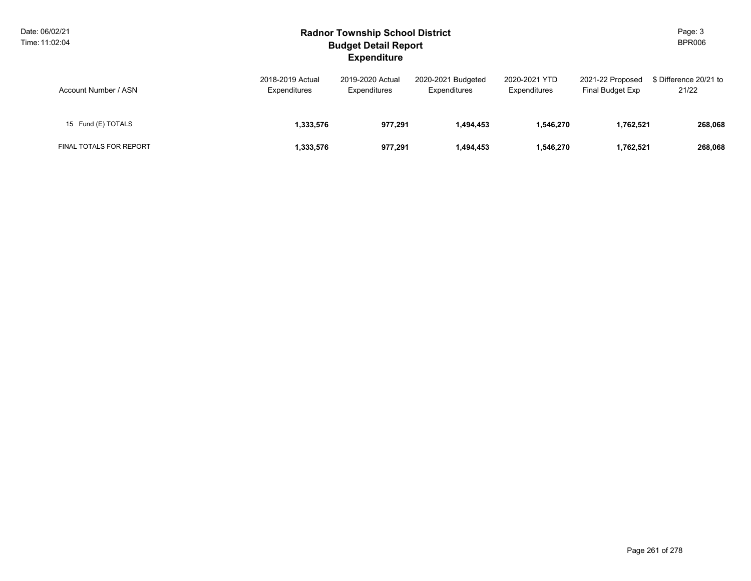| Date: 06/02/21<br>Time: 11:02:04 |                                  | <b>Radnor Township School District</b><br><b>Budget Detail Report</b><br><b>Expenditure</b> |                                    |                               |                                      |                                 |  |  |  |
|----------------------------------|----------------------------------|---------------------------------------------------------------------------------------------|------------------------------------|-------------------------------|--------------------------------------|---------------------------------|--|--|--|
| Account Number / ASN             | 2018-2019 Actual<br>Expenditures | 2019-2020 Actual<br>Expenditures                                                            | 2020-2021 Budgeted<br>Expenditures | 2020-2021 YTD<br>Expenditures | 2021-22 Proposed<br>Final Budget Exp | \$ Difference 20/21 to<br>21/22 |  |  |  |
| 15 Fund (E) TOTALS               | 1,333,576                        | 977,291                                                                                     | 1,494,453                          | 1,546,270                     | 1,762,521                            | 268,068                         |  |  |  |
| FINAL TOTALS FOR REPORT          | 1,333,576                        | 977.291                                                                                     | 1,494,453                          | 1,546,270                     | 1,762,521                            | 268,068                         |  |  |  |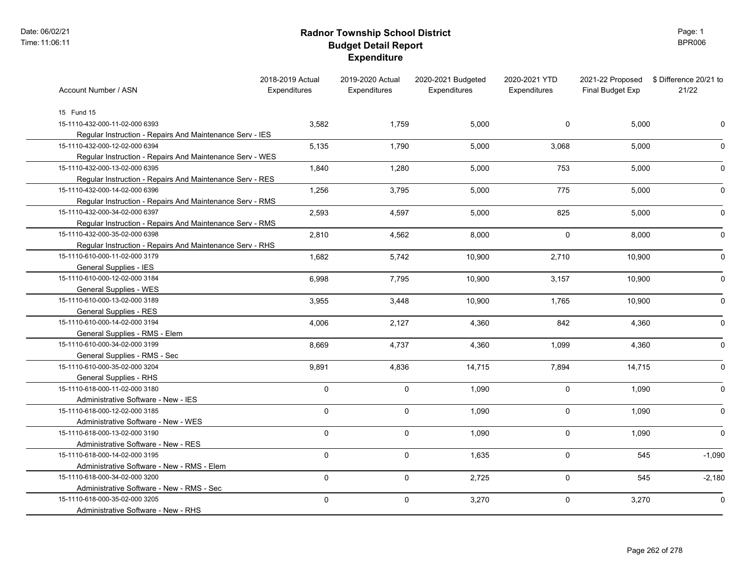# **Radnor Township School District Budget Detail Report Expenditure**

Page: 1 BPR006

| Account Number / ASN                                     | 2018-2019 Actual<br>Expenditures | 2019-2020 Actual<br><b>Expenditures</b> | 2020-2021 Budgeted<br>Expenditures | 2020-2021 YTD<br>Expenditures | 2021-22 Proposed<br>Final Budget Exp | \$ Difference 20/21 to<br>21/22 |
|----------------------------------------------------------|----------------------------------|-----------------------------------------|------------------------------------|-------------------------------|--------------------------------------|---------------------------------|
| 15 Fund 15                                               |                                  |                                         |                                    |                               |                                      |                                 |
| 15-1110-432-000-11-02-000 6393                           | 3,582                            | 1,759                                   | 5,000                              | 0                             | 5,000                                | 0                               |
| Regular Instruction - Repairs And Maintenance Serv - IES |                                  |                                         |                                    |                               |                                      |                                 |
| 15-1110-432-000-12-02-000 6394                           | 5,135                            | 1,790                                   | 5,000                              | 3,068                         | 5,000                                | 0                               |
| Regular Instruction - Repairs And Maintenance Serv - WES |                                  |                                         |                                    |                               |                                      |                                 |
| 15-1110-432-000-13-02-000 6395                           | 1,840                            | 1,280                                   | 5,000                              | 753                           | 5,000                                |                                 |
| Regular Instruction - Repairs And Maintenance Serv - RES |                                  |                                         |                                    |                               |                                      |                                 |
| 15-1110-432-000-14-02-000 6396                           | 1,256                            | 3,795                                   | 5,000                              | 775                           | 5,000                                | 0                               |
| Regular Instruction - Repairs And Maintenance Serv - RMS |                                  |                                         |                                    |                               |                                      |                                 |
| 15-1110-432-000-34-02-000 6397                           | 2,593                            | 4,597                                   | 5,000                              | 825                           | 5,000                                |                                 |
| Regular Instruction - Repairs And Maintenance Serv - RMS |                                  |                                         |                                    |                               |                                      |                                 |
| 15-1110-432-000-35-02-000 6398                           | 2,810                            | 4,562                                   | 8,000                              | 0                             | 8,000                                |                                 |
| Regular Instruction - Repairs And Maintenance Serv - RHS |                                  |                                         |                                    |                               |                                      |                                 |
| 15-1110-610-000-11-02-000 3179                           | 1,682                            | 5,742                                   | 10,900                             | 2,710                         | 10,900                               |                                 |
| General Supplies - IES                                   |                                  |                                         |                                    |                               |                                      |                                 |
| 15-1110-610-000-12-02-000 3184                           | 6,998                            | 7,795                                   | 10,900                             | 3,157                         | 10,900                               |                                 |
| General Supplies - WES                                   |                                  |                                         |                                    |                               |                                      |                                 |
| 15-1110-610-000-13-02-000 3189                           | 3,955                            | 3,448                                   | 10,900                             | 1,765                         | 10,900                               | 0                               |
| General Supplies - RES                                   |                                  |                                         |                                    |                               |                                      |                                 |
| 15-1110-610-000-14-02-000 3194                           | 4,006                            | 2,127                                   | 4,360                              | 842                           | 4,360                                | 0                               |
| General Supplies - RMS - Elem                            |                                  |                                         |                                    |                               |                                      |                                 |
| 15-1110-610-000-34-02-000 3199                           | 8,669                            | 4,737                                   | 4,360                              | 1,099                         | 4,360                                | 0                               |
| General Supplies - RMS - Sec                             |                                  |                                         |                                    |                               |                                      |                                 |
| 15-1110-610-000-35-02-000 3204                           | 9,891                            | 4,836                                   | 14,715                             | 7,894                         | 14,715                               | U                               |
| General Supplies - RHS                                   |                                  |                                         |                                    |                               |                                      |                                 |
| 15-1110-618-000-11-02-000 3180                           | $\mathsf{O}\xspace$              | 0                                       | 1,090                              | 0                             | 1,090                                |                                 |
| Administrative Software - New - IES                      |                                  |                                         |                                    |                               |                                      |                                 |
| 15-1110-618-000-12-02-000 3185                           | $\mathsf{O}\xspace$              | $\mathbf 0$                             | 1,090                              | 0                             | 1,090                                |                                 |
| Administrative Software - New - WES                      |                                  |                                         |                                    |                               |                                      |                                 |
| 15-1110-618-000-13-02-000 3190                           | $\mathbf 0$                      | $\mathbf 0$                             | 1,090                              | 0                             | 1,090                                | $\Omega$                        |
| Administrative Software - New - RES                      |                                  |                                         |                                    |                               |                                      |                                 |
| 15-1110-618-000-14-02-000 3195                           | $\mathbf 0$                      | 0                                       | 1,635                              | 0                             | 545                                  | $-1,090$                        |
| Administrative Software - New - RMS - Elem               |                                  |                                         |                                    |                               |                                      |                                 |
| 15-1110-618-000-34-02-000 3200                           | $\mathbf 0$                      | $\mathbf 0$                             | 2,725                              | 0                             | 545                                  | $-2,180$                        |
| Administrative Software - New - RMS - Sec                |                                  |                                         |                                    |                               |                                      |                                 |
| 15-1110-618-000-35-02-000 3205                           | $\mathbf 0$                      | $\mathsf{O}$                            | 3,270                              | 0                             | 3,270                                | 0                               |
| Administrative Software - New - RHS                      |                                  |                                         |                                    |                               |                                      |                                 |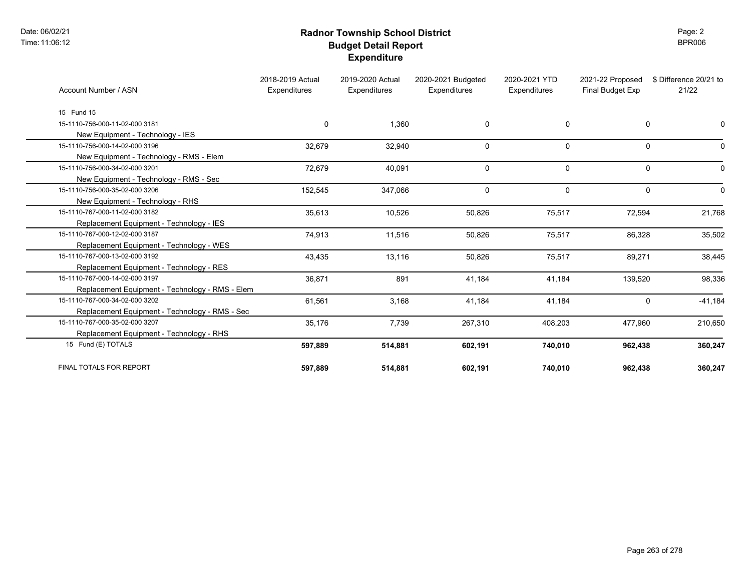Date: 06/02/21 Time:11:06:12

# **Radnor Township School District Budget Detail Report Expenditure**

Page: 2 BPR006

| Account Number / ASN                            | 2018-2019 Actual<br>Expenditures | 2019-2020 Actual<br>Expenditures | 2020-2021 Budgeted<br>Expenditures | 2020-2021 YTD<br>Expenditures | 2021-22 Proposed<br>Final Budget Exp | \$ Difference 20/21 to<br>21/22 |
|-------------------------------------------------|----------------------------------|----------------------------------|------------------------------------|-------------------------------|--------------------------------------|---------------------------------|
| 15 Fund 15                                      |                                  |                                  |                                    |                               |                                      |                                 |
| 15-1110-756-000-11-02-000 3181                  | 0                                | 1,360                            | $\mathbf 0$                        | $\mathbf{0}$                  | 0                                    | O                               |
| New Equipment - Technology - IES                |                                  |                                  |                                    |                               |                                      |                                 |
| 15-1110-756-000-14-02-000 3196                  | 32,679                           | 32,940                           | $\mathbf 0$                        | $\mathbf{0}$                  | $\mathbf 0$                          | $\Omega$                        |
| New Equipment - Technology - RMS - Elem         |                                  |                                  |                                    |                               |                                      |                                 |
| 15-1110-756-000-34-02-000 3201                  | 72,679                           | 40,091                           | 0                                  | $\mathbf 0$                   | $\mathbf 0$                          | $\Omega$                        |
| New Equipment - Technology - RMS - Sec          |                                  |                                  |                                    |                               |                                      |                                 |
| 15-1110-756-000-35-02-000 3206                  | 152,545                          | 347,066                          | $\mathbf 0$                        | $\mathbf{0}$                  | $\mathbf 0$                          | $\Omega$                        |
| New Equipment - Technology - RHS                |                                  |                                  |                                    |                               |                                      |                                 |
| 15-1110-767-000-11-02-000 3182                  | 35,613                           | 10,526                           | 50,826                             | 75,517                        | 72,594                               | 21,768                          |
| Replacement Equipment - Technology - IES        |                                  |                                  |                                    |                               |                                      |                                 |
| 15-1110-767-000-12-02-000 3187                  | 74,913                           | 11,516                           | 50,826                             | 75,517                        | 86,328                               | 35,502                          |
| Replacement Equipment - Technology - WES        |                                  |                                  |                                    |                               |                                      |                                 |
| 15-1110-767-000-13-02-000 3192                  | 43,435                           | 13,116                           | 50,826                             | 75,517                        | 89,271                               | 38,445                          |
| Replacement Equipment - Technology - RES        |                                  |                                  |                                    |                               |                                      |                                 |
| 15-1110-767-000-14-02-000 3197                  | 36,871                           | 891                              | 41,184                             | 41,184                        | 139,520                              | 98,336                          |
| Replacement Equipment - Technology - RMS - Elem |                                  |                                  |                                    |                               |                                      |                                 |
| 15-1110-767-000-34-02-000 3202                  | 61,561                           | 3,168                            | 41,184                             | 41,184                        | $\Omega$                             | $-41,184$                       |
| Replacement Equipment - Technology - RMS - Sec  |                                  |                                  |                                    |                               |                                      |                                 |
| 15-1110-767-000-35-02-000 3207                  | 35,176                           | 7,739                            | 267,310                            | 408,203                       | 477,960                              | 210,650                         |
| Replacement Equipment - Technology - RHS        |                                  |                                  |                                    |                               |                                      |                                 |
| 15 Fund (E) TOTALS                              | 597,889                          | 514,881                          | 602,191                            | 740,010                       | 962,438                              | 360,247                         |
| FINAL TOTALS FOR REPORT                         | 597,889                          | 514,881                          | 602,191                            | 740,010                       | 962,438                              | 360,247                         |